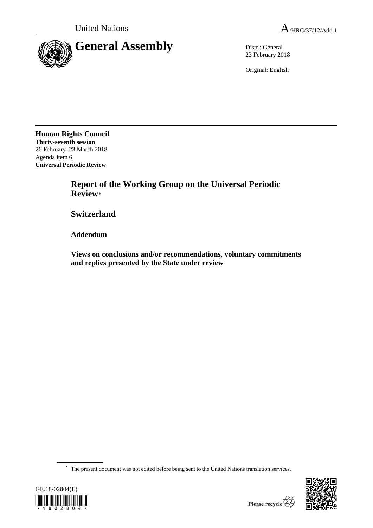

23 February 2018

Original: English

**Human Rights Council Thirty-seventh session** 26 February–23 March 2018 Agenda item 6 **Universal Periodic Review**

> **Report of the Working Group on the Universal Periodic Review**\*

**Switzerland**

**Addendum**

**Views on conclusions and/or recommendations, voluntary commitments and replies presented by the State under review**

\* The present document was not edited before being sent to the United Nations translation services.



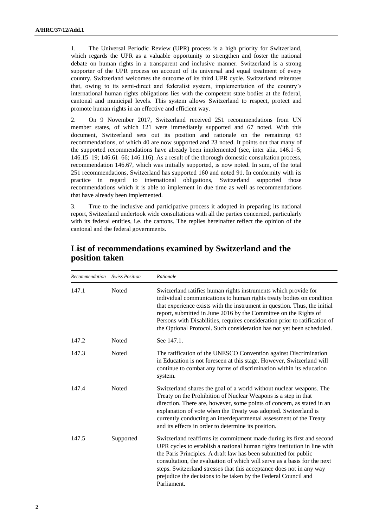1. The Universal Periodic Review (UPR) process is a high priority for Switzerland, which regards the UPR as a valuable opportunity to strengthen and foster the national debate on human rights in a transparent and inclusive manner. Switzerland is a strong supporter of the UPR process on account of its universal and equal treatment of every country. Switzerland welcomes the outcome of its third UPR cycle. Switzerland reiterates that, owing to its semi-direct and federalist system, implementation of the country's international human rights obligations lies with the competent state bodies at the federal, cantonal and municipal levels. This system allows Switzerland to respect, protect and promote human rights in an effective and efficient way.

2. On 9 November 2017, Switzerland received 251 recommendations from UN member states, of which 121 were immediately supported and 67 noted. With this document, Switzerland sets out its position and rationale on the remaining 63 recommendations, of which 40 are now supported and 23 noted. It points out that many of the supported recommendations have already been implemented (see, inter alia, 146.1–5; 146.15–19; 146.61–66; 146.116). As a result of the thorough domestic consultation process, recommendation 146.67, which was initially supported, is now noted. In sum, of the total 251 recommendations, Switzerland has supported 160 and noted 91. In conformity with its practice in regard to international obligations, Switzerland supported those recommendations which it is able to implement in due time as well as recommendations that have already been implemented.

3. True to the inclusive and participative process it adopted in preparing its national report, Switzerland undertook wide consultations with all the parties concerned, particularly with its federal entities, i.e. the cantons. The replies hereinafter reflect the opinion of the cantonal and the federal governments.

| Recommendation | <b>Swiss Position</b> | Rationale                                                                                                                                                                                                                                                                                                                                                                                                                                                 |
|----------------|-----------------------|-----------------------------------------------------------------------------------------------------------------------------------------------------------------------------------------------------------------------------------------------------------------------------------------------------------------------------------------------------------------------------------------------------------------------------------------------------------|
| 147.1          | <b>Noted</b>          | Switzerland ratifies human rights instruments which provide for<br>individual communications to human rights treaty bodies on condition<br>that experience exists with the instrument in question. Thus, the initial<br>report, submitted in June 2016 by the Committee on the Rights of<br>Persons with Disabilities, requires consideration prior to ratification of<br>the Optional Protocol. Such consideration has not yet been scheduled.           |
| 147.2          | Noted                 | See 147.1.                                                                                                                                                                                                                                                                                                                                                                                                                                                |
| 147.3          | <b>Noted</b>          | The ratification of the UNESCO Convention against Discrimination<br>in Education is not foreseen at this stage. However, Switzerland will<br>continue to combat any forms of discrimination within its education<br>system.                                                                                                                                                                                                                               |
| 147.4          | <b>Noted</b>          | Switzerland shares the goal of a world without nuclear weapons. The<br>Treaty on the Prohibition of Nuclear Weapons is a step in that<br>direction. There are, however, some points of concern, as stated in an<br>explanation of vote when the Treaty was adopted. Switzerland is<br>currently conducting an interdepartmental assessment of the Treaty<br>and its effects in order to determine its position.                                           |
| 147.5          | Supported             | Switzerland reaffirms its commitment made during its first and second<br>UPR cycles to establish a national human rights institution in line with<br>the Paris Principles. A draft law has been submitted for public<br>consultation, the evaluation of which will serve as a basis for the next<br>steps. Switzerland stresses that this acceptance does not in any way<br>prejudice the decisions to be taken by the Federal Council and<br>Parliament. |

## **List of recommendations examined by Switzerland and the position taken**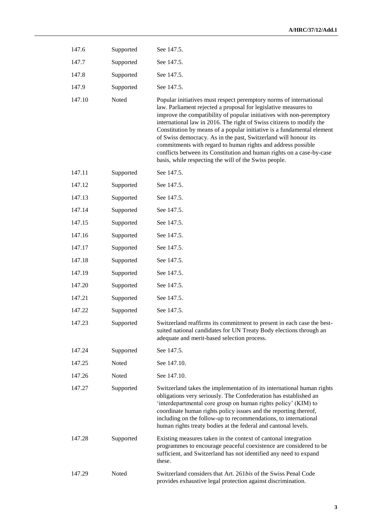| 147.6  | Supported | See 147.5.                                                                                                                                                                                                                                                                                                                                                                                                                                                                                                                                                                                                                           |
|--------|-----------|--------------------------------------------------------------------------------------------------------------------------------------------------------------------------------------------------------------------------------------------------------------------------------------------------------------------------------------------------------------------------------------------------------------------------------------------------------------------------------------------------------------------------------------------------------------------------------------------------------------------------------------|
| 147.7  | Supported | See 147.5.                                                                                                                                                                                                                                                                                                                                                                                                                                                                                                                                                                                                                           |
| 147.8  | Supported | See 147.5.                                                                                                                                                                                                                                                                                                                                                                                                                                                                                                                                                                                                                           |
| 147.9  | Supported | See 147.5.                                                                                                                                                                                                                                                                                                                                                                                                                                                                                                                                                                                                                           |
| 147.10 | Noted     | Popular initiatives must respect peremptory norms of international<br>law. Parliament rejected a proposal for legislative measures to<br>improve the compatibility of popular initiatives with non-peremptory<br>international law in 2016. The right of Swiss citizens to modify the<br>Constitution by means of a popular initiative is a fundamental element<br>of Swiss democracy. As in the past, Switzerland will honour its<br>commitments with regard to human rights and address possible<br>conflicts between its Constitution and human rights on a case-by-case<br>basis, while respecting the will of the Swiss people. |
| 147.11 | Supported | See 147.5.                                                                                                                                                                                                                                                                                                                                                                                                                                                                                                                                                                                                                           |
| 147.12 | Supported | See 147.5.                                                                                                                                                                                                                                                                                                                                                                                                                                                                                                                                                                                                                           |
| 147.13 | Supported | See 147.5.                                                                                                                                                                                                                                                                                                                                                                                                                                                                                                                                                                                                                           |
| 147.14 | Supported | See 147.5.                                                                                                                                                                                                                                                                                                                                                                                                                                                                                                                                                                                                                           |
| 147.15 | Supported | See 147.5.                                                                                                                                                                                                                                                                                                                                                                                                                                                                                                                                                                                                                           |
| 147.16 | Supported | See 147.5.                                                                                                                                                                                                                                                                                                                                                                                                                                                                                                                                                                                                                           |
| 147.17 | Supported | See 147.5.                                                                                                                                                                                                                                                                                                                                                                                                                                                                                                                                                                                                                           |
| 147.18 | Supported | See 147.5.                                                                                                                                                                                                                                                                                                                                                                                                                                                                                                                                                                                                                           |
| 147.19 | Supported | See 147.5.                                                                                                                                                                                                                                                                                                                                                                                                                                                                                                                                                                                                                           |
| 147.20 | Supported | See 147.5.                                                                                                                                                                                                                                                                                                                                                                                                                                                                                                                                                                                                                           |
| 147.21 | Supported | See 147.5.                                                                                                                                                                                                                                                                                                                                                                                                                                                                                                                                                                                                                           |
| 147.22 | Supported | See 147.5.                                                                                                                                                                                                                                                                                                                                                                                                                                                                                                                                                                                                                           |
| 147.23 | Supported | Switzerland reaffirms its commitment to present in each case the best-<br>suited national candidates for UN Treaty Body elections through an<br>adequate and merit-based selection process.                                                                                                                                                                                                                                                                                                                                                                                                                                          |
| 147.24 | Supported | See 147.5.                                                                                                                                                                                                                                                                                                                                                                                                                                                                                                                                                                                                                           |
| 147.25 | Noted     | See 147.10.                                                                                                                                                                                                                                                                                                                                                                                                                                                                                                                                                                                                                          |
| 147.26 | Noted     | See 147.10.                                                                                                                                                                                                                                                                                                                                                                                                                                                                                                                                                                                                                          |
| 147.27 | Supported | Switzerland takes the implementation of its international human rights<br>obligations very seriously. The Confederation has established an<br>'interdepartmental core group on human rights policy' (KIM) to<br>coordinate human rights policy issues and the reporting thereof,<br>including on the follow-up to recommendations, to international<br>human rights treaty bodies at the federal and cantonal levels.                                                                                                                                                                                                                |
| 147.28 | Supported | Existing measures taken in the context of cantonal integration<br>programmes to encourage peaceful coexistence are considered to be<br>sufficient, and Switzerland has not identified any need to expand<br>these.                                                                                                                                                                                                                                                                                                                                                                                                                   |
| 147.29 | Noted     | Switzerland considers that Art. 261bis of the Swiss Penal Code<br>provides exhaustive legal protection against discrimination.                                                                                                                                                                                                                                                                                                                                                                                                                                                                                                       |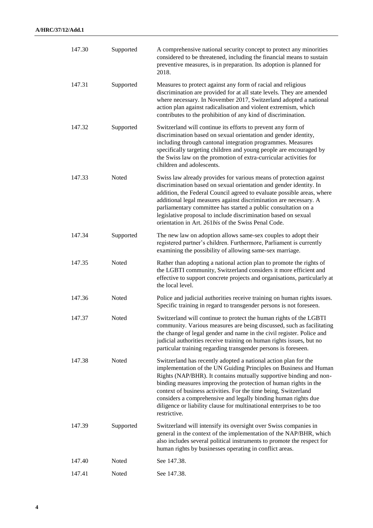| 147.30 | Supported | A comprehensive national security concept to protect any minorities<br>considered to be threatened, including the financial means to sustain<br>preventive measures, is in preparation. Its adoption is planned for<br>2018.                                                                                                                                                                                                                                                                                 |
|--------|-----------|--------------------------------------------------------------------------------------------------------------------------------------------------------------------------------------------------------------------------------------------------------------------------------------------------------------------------------------------------------------------------------------------------------------------------------------------------------------------------------------------------------------|
| 147.31 | Supported | Measures to protect against any form of racial and religious<br>discrimination are provided for at all state levels. They are amended<br>where necessary. In November 2017, Switzerland adopted a national<br>action plan against radicalisation and violent extremism, which<br>contributes to the prohibition of any kind of discrimination.                                                                                                                                                               |
| 147.32 | Supported | Switzerland will continue its efforts to prevent any form of<br>discrimination based on sexual orientation and gender identity,<br>including through cantonal integration programmes. Measures<br>specifically targeting children and young people are encouraged by<br>the Swiss law on the promotion of extra-curricular activities for<br>children and adolescents.                                                                                                                                       |
| 147.33 | Noted     | Swiss law already provides for various means of protection against<br>discrimination based on sexual orientation and gender identity. In<br>addition, the Federal Council agreed to evaluate possible areas, where<br>additional legal measures against discrimination are necessary. A<br>parliamentary committee has started a public consultation on a<br>legislative proposal to include discrimination based on sexual<br>orientation in Art. 261 <i>bis</i> of the Swiss Penal Code.                   |
| 147.34 | Supported | The new law on adoption allows same-sex couples to adopt their<br>registered partner's children. Furthermore, Parliament is currently<br>examining the possibility of allowing same-sex marriage.                                                                                                                                                                                                                                                                                                            |
| 147.35 | Noted     | Rather than adopting a national action plan to promote the rights of<br>the LGBTI community, Switzerland considers it more efficient and<br>effective to support concrete projects and organisations, particularly at<br>the local level.                                                                                                                                                                                                                                                                    |
| 147.36 | Noted     | Police and judicial authorities receive training on human rights issues.<br>Specific training in regard to transgender persons is not foreseen.                                                                                                                                                                                                                                                                                                                                                              |
| 147.37 | Noted     | Switzerland will continue to protect the human rights of the LGBTI<br>community. Various measures are being discussed, such as facilitating<br>the change of legal gender and name in the civil register. Police and<br>judicial authorities receive training on human rights issues, but no<br>particular training regarding transgender persons is foreseen.                                                                                                                                               |
| 147.38 | Noted     | Switzerland has recently adopted a national action plan for the<br>implementation of the UN Guiding Principles on Business and Human<br>Rights (NAP/BHR). It contains mutually supportive binding and non-<br>binding measures improving the protection of human rights in the<br>context of business activities. For the time being, Switzerland<br>considers a comprehensive and legally binding human rights due<br>diligence or liability clause for multinational enterprises to be too<br>restrictive. |
| 147.39 | Supported | Switzerland will intensify its oversight over Swiss companies in<br>general in the context of the implementation of the NAP/BHR, which<br>also includes several political instruments to promote the respect for<br>human rights by businesses operating in conflict areas.                                                                                                                                                                                                                                  |
| 147.40 | Noted     | See 147.38.                                                                                                                                                                                                                                                                                                                                                                                                                                                                                                  |
| 147.41 | Noted     | See 147.38.                                                                                                                                                                                                                                                                                                                                                                                                                                                                                                  |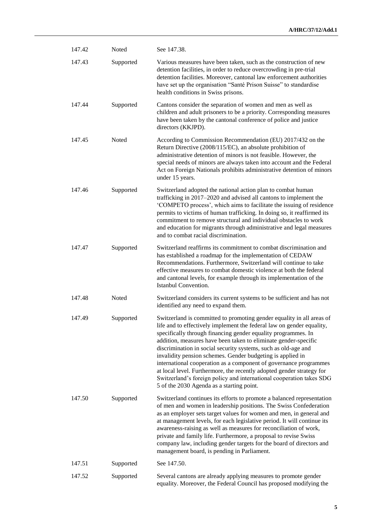| 147.42 | Noted     | See 147.38.                                                                                                                                                                                                                                                                                                                                                                                                                                                                                                                                                                                                                                                                           |
|--------|-----------|---------------------------------------------------------------------------------------------------------------------------------------------------------------------------------------------------------------------------------------------------------------------------------------------------------------------------------------------------------------------------------------------------------------------------------------------------------------------------------------------------------------------------------------------------------------------------------------------------------------------------------------------------------------------------------------|
| 147.43 | Supported | Various measures have been taken, such as the construction of new<br>detention facilities, in order to reduce overcrowding in pre-trial<br>detention facilities. Moreover, cantonal law enforcement authorities<br>have set up the organisation "Santé Prison Suisse" to standardise<br>health conditions in Swiss prisons.                                                                                                                                                                                                                                                                                                                                                           |
| 147.44 | Supported | Cantons consider the separation of women and men as well as<br>children and adult prisoners to be a priority. Corresponding measures<br>have been taken by the cantonal conference of police and justice<br>directors (KKJPD).                                                                                                                                                                                                                                                                                                                                                                                                                                                        |
| 147.45 | Noted     | According to Commission Recommendation (EU) 2017/432 on the<br>Return Directive (2008/115/EC), an absolute prohibition of<br>administrative detention of minors is not feasible. However, the<br>special needs of minors are always taken into account and the Federal<br>Act on Foreign Nationals prohibits administrative detention of minors<br>under 15 years.                                                                                                                                                                                                                                                                                                                    |
| 147.46 | Supported | Switzerland adopted the national action plan to combat human<br>trafficking in 2017–2020 and advised all cantons to implement the<br>'COMPETO process', which aims to facilitate the issuing of residence<br>permits to victims of human trafficking. In doing so, it reaffirmed its<br>commitment to remove structural and individual obstacles to work<br>and education for migrants through administrative and legal measures<br>and to combat racial discrimination.                                                                                                                                                                                                              |
| 147.47 | Supported | Switzerland reaffirms its commitment to combat discrimination and<br>has established a roadmap for the implementation of CEDAW<br>Recommendations. Furthermore, Switzerland will continue to take<br>effective measures to combat domestic violence at both the federal<br>and cantonal levels, for example through its implementation of the<br><b>Istanbul Convention.</b>                                                                                                                                                                                                                                                                                                          |
| 147.48 | Noted     | Switzerland considers its current systems to be sufficient and has not<br>identified any need to expand them.                                                                                                                                                                                                                                                                                                                                                                                                                                                                                                                                                                         |
| 147.49 | Supported | Switzerland is committed to promoting gender equality in all areas of<br>life and to effectively implement the federal law on gender equality,<br>specifically through financing gender equality programmes. In<br>addition, measures have been taken to eliminate gender-specific<br>discrimination in social security systems, such as old-age and<br>invalidity pension schemes. Gender budgeting is applied in<br>international cooperation as a component of governance programmes<br>at local level. Furthermore, the recently adopted gender strategy for<br>Switzerland's foreign policy and international cooperation takes SDG<br>5 of the 2030 Agenda as a starting point. |
| 147.50 | Supported | Switzerland continues its efforts to promote a balanced representation<br>of men and women in leadership positions. The Swiss Confederation<br>as an employer sets target values for women and men, in general and<br>at management levels, for each legislative period. It will continue its<br>awareness-raising as well as measures for reconciliation of work,<br>private and family life. Furthermore, a proposal to revise Swiss<br>company law, including gender targets for the board of directors and<br>management board, is pending in Parliament.                                                                                                                         |
| 147.51 | Supported | See 147.50.                                                                                                                                                                                                                                                                                                                                                                                                                                                                                                                                                                                                                                                                           |
| 147.52 | Supported | Several cantons are already applying measures to promote gender<br>equality. Moreover, the Federal Council has proposed modifying the                                                                                                                                                                                                                                                                                                                                                                                                                                                                                                                                                 |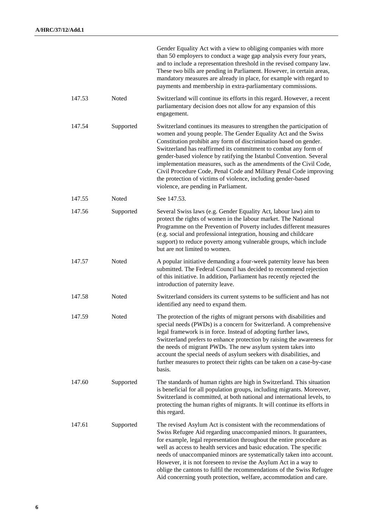|        |           | Gender Equality Act with a view to obliging companies with more<br>than 50 employers to conduct a wage gap analysis every four years,<br>and to include a representation threshold in the revised company law.<br>These two bills are pending in Parliament. However, in certain areas,<br>mandatory measures are already in place, for example with regard to<br>payments and membership in extra-parliamentary commissions.                                                                                                                                                                              |
|--------|-----------|------------------------------------------------------------------------------------------------------------------------------------------------------------------------------------------------------------------------------------------------------------------------------------------------------------------------------------------------------------------------------------------------------------------------------------------------------------------------------------------------------------------------------------------------------------------------------------------------------------|
| 147.53 | Noted     | Switzerland will continue its efforts in this regard. However, a recent<br>parliamentary decision does not allow for any expansion of this<br>engagement.                                                                                                                                                                                                                                                                                                                                                                                                                                                  |
| 147.54 | Supported | Switzerland continues its measures to strengthen the participation of<br>women and young people. The Gender Equality Act and the Swiss<br>Constitution prohibit any form of discrimination based on gender.<br>Switzerland has reaffirmed its commitment to combat any form of<br>gender-based violence by ratifying the Istanbul Convention. Several<br>implementation measures, such as the amendments of the Civil Code,<br>Civil Procedure Code, Penal Code and Military Penal Code improving<br>the protection of victims of violence, including gender-based<br>violence, are pending in Parliament. |
| 147.55 | Noted     | See 147.53.                                                                                                                                                                                                                                                                                                                                                                                                                                                                                                                                                                                                |
| 147.56 | Supported | Several Swiss laws (e.g. Gender Equality Act, labour law) aim to<br>protect the rights of women in the labour market. The National<br>Programme on the Prevention of Poverty includes different measures<br>(e.g. social and professional integration, housing and childcare<br>support) to reduce poverty among vulnerable groups, which include<br>but are not limited to women.                                                                                                                                                                                                                         |
| 147.57 | Noted     | A popular initiative demanding a four-week paternity leave has been<br>submitted. The Federal Council has decided to recommend rejection<br>of this initiative. In addition, Parliament has recently rejected the<br>introduction of paternity leave.                                                                                                                                                                                                                                                                                                                                                      |
| 147.58 | Noted     | Switzerland considers its current systems to be sufficient and has not<br>identified any need to expand them.                                                                                                                                                                                                                                                                                                                                                                                                                                                                                              |
| 147.59 | Noted     | The protection of the rights of migrant persons with disabilities and<br>special needs (PWDs) is a concern for Switzerland. A comprehensive<br>legal framework is in force. Instead of adopting further laws,<br>Switzerland prefers to enhance protection by raising the awareness for<br>the needs of migrant PWDs. The new asylum system takes into<br>account the special needs of asylum seekers with disabilities, and<br>further measures to protect their rights can be taken on a case-by-case<br>basis.                                                                                          |
| 147.60 | Supported | The standards of human rights are high in Switzerland. This situation<br>is beneficial for all population groups, including migrants. Moreover,<br>Switzerland is committed, at both national and international levels, to<br>protecting the human rights of migrants. It will continue its efforts in<br>this regard.                                                                                                                                                                                                                                                                                     |
| 147.61 | Supported | The revised Asylum Act is consistent with the recommendations of<br>Swiss Refugee Aid regarding unaccompanied minors. It guarantees,<br>for example, legal representation throughout the entire procedure as<br>well as access to health services and basic education. The specific<br>needs of unaccompanied minors are systematically taken into account.<br>However, it is not foreseen to revise the Asylum Act in a way to<br>oblige the cantons to fulfil the recommendations of the Swiss Refugee<br>Aid concerning youth protection, welfare, accommodation and care.                              |